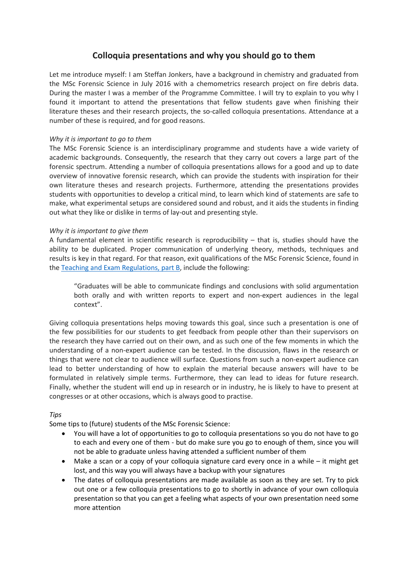## **Colloquia presentations and why you should go to them**

Let me introduce myself: I am Steffan Jonkers, have a background in chemistry and graduated from the MSc Forensic Science in July 2016 with a chemometrics research project on fire debris data. During the master I was a member of the Programme Committee. I will try to explain to you why I found it important to attend the presentations that fellow students gave when finishing their literature theses and their research projects, the so-called colloquia presentations. Attendance at a number of these is required, and for good reasons.

## *Why it is important to go to them*

The MSc Forensic Science is an interdisciplinary programme and students have a wide variety of academic backgrounds. Consequently, the research that they carry out covers a large part of the forensic spectrum. Attending a number of colloquia presentations allows for a good and up to date overview of innovative forensic research, which can provide the students with inspiration for their own literature theses and research projects. Furthermore, attending the presentations provides students with opportunities to develop a critical mind, to learn which kind of statements are safe to make, what experimental setups are considered sound and robust, and it aids the students in finding out what they like or dislike in terms of lay-out and presenting style.

## *Why it is important to give them*

A fundamental element in scientific research is reproducibility  $-$  that is, studies should have the ability to be duplicated. Proper communication of underlying theory, methods, techniques and results is key in that regard. For that reason, exit qualifications of the MSc Forensic Science, found in the [Teaching and Exam Regulations, part B,](http://student.uva.nl/fs/az/item/rules-and-regulations.html) include the following:

"Graduates will be able to communicate findings and conclusions with solid argumentation both orally and with written reports to expert and non-expert audiences in the legal context".

Giving colloquia presentations helps moving towards this goal, since such a presentation is one of the few possibilities for our students to get feedback from people other than their supervisors on the research they have carried out on their own, and as such one of the few moments in which the understanding of a non-expert audience can be tested. In the discussion, flaws in the research or things that were not clear to audience will surface. Questions from such a non-expert audience can lead to better understanding of how to explain the material because answers will have to be formulated in relatively simple terms. Furthermore, they can lead to ideas for future research. Finally, whether the student will end up in research or in industry, he is likely to have to present at congresses or at other occasions, which is always good to practise.

## *Tips*

Some tips to (future) students of the MSc Forensic Science:

- You will have a lot of opportunities to go to colloquia presentations so you do not have to go to each and every one of them - but do make sure you go to enough of them, since you will not be able to graduate unless having attended a sufficient number of them
- Make a scan or a copy of your colloquia signature card every once in a while it might get lost, and this way you will always have a backup with your signatures
- The dates of colloquia presentations are made available as soon as they are set. Try to pick out one or a few colloquia presentations to go to shortly in advance of your own colloquia presentation so that you can get a feeling what aspects of your own presentation need some more attention